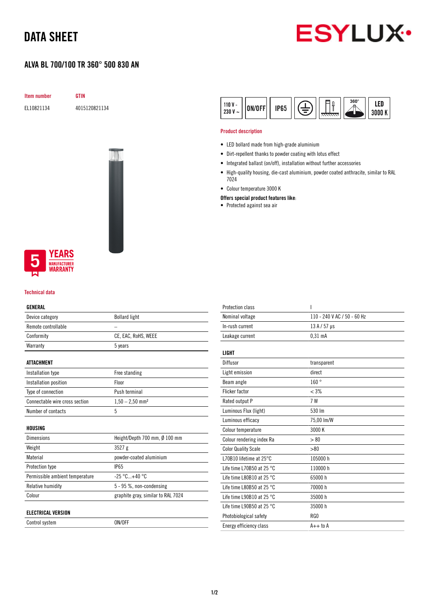## DATA SHEET

### ALVA BL 700/100 TR 360° 500 830 AN



Item number GTIN

EL10821134 4015120821134





#### Technical data

#### GENERAL

| Device category                 | <b>Bollard light</b>               |
|---------------------------------|------------------------------------|
| Remote controllable             |                                    |
| Conformity                      | CE, EAC, RoHS, WEEE                |
| Warranty                        | 5 years                            |
|                                 |                                    |
| ATTACHMENT                      |                                    |
| Installation type               | Free standing                      |
| Installation position           | Floor                              |
| Type of connection              | Push terminal                      |
| Connectable wire cross section  | $1,50 - 2,50$ mm <sup>2</sup>      |
| Number of contacts              | 5                                  |
|                                 |                                    |
| HOUSING                         |                                    |
| <b>Dimensions</b>               | Height/Depth 700 mm, Ø 100 mm      |
| Weight                          | 3527g                              |
| Material                        | powder-coated aluminium            |
| <b>Protection type</b>          | <b>IP65</b>                        |
| Permissible ambient temperature | $-25 °C+40 °C$                     |
| <b>Relative humidity</b>        | 5 - 95 %, non-condensing           |
| Colour                          | graphite gray, similar to RAL 7024 |
|                                 |                                    |
| <b>ELECTRICAL VERSION</b>       |                                    |

Control system ON/OFF

| $110V -$<br><b>IP65</b><br>ON/OFF<br>230V<br>$\tilde{\phantom{a}}$ |  | T | $360^\circ$ | LED<br>100 K |
|--------------------------------------------------------------------|--|---|-------------|--------------|
|--------------------------------------------------------------------|--|---|-------------|--------------|

#### Product description

- LED bollard made from high-grade aluminium
- Dirt-repellent thanks to powder coating with lotus effect
- Integrated ballast (on/off), installation without further accessories
- High-quality housing, die-cast aluminium, powder coated anthracite, similar to RAL 7024
- Colour temperature 3000 K
- Offers special product features like:
- Protected against sea air

| <b>Protection class</b>             | I                           |
|-------------------------------------|-----------------------------|
| Nominal voltage                     | 110 - 240 V AC / 50 - 60 Hz |
| In-rush current                     | $13A/57$ µs                 |
| Leakage current                     | $0.31$ mA                   |
|                                     |                             |
| <b>LIGHT</b>                        |                             |
| Diffusor                            | transparent                 |
| Light emission                      | direct                      |
| Beam angle                          | 160°                        |
| Flicker factor                      | $< 3\%$                     |
| Rated output P                      | 7 W                         |
| Luminous Flux (light)               | 530 lm                      |
| Luminous efficacy                   | 75,00 lm/W                  |
| Colour temperature                  | 3000 K                      |
| Colour rendering index Ra           | > 80                        |
| <b>Color Quality Scale</b>          | > 80                        |
| L70B10 lifetime at $25^{\circ}$ C   | 105000h                     |
| Life time L70B50 at 25 $^{\circ}$ C | 110000h                     |
| Life time L80B10 at 25 $^{\circ}$ C | 65000h                      |
| Life time L80B50 at 25 $^{\circ}$ C | 70000 h                     |
| Life time L90B10 at 25 $^{\circ}$ C | 35000 h                     |
| Life time L90B50 at 25 $^{\circ}$ C | 35000h                      |
| Photobiological safety              | RG <sub>0</sub>             |
| Energy efficiency class             | $A++$ to $A$                |